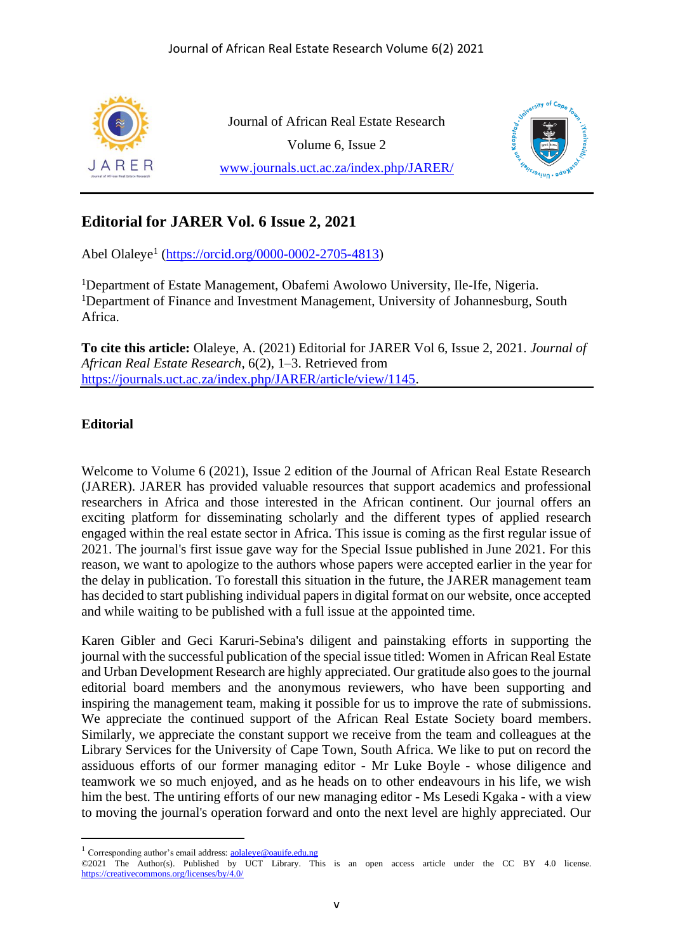



## **Editorial for JARER Vol. 6 Issue 2, 2021**

Abel Olaleye<sup>1</sup> [\(https://orcid.org/0000-0002-2705-4813\)](https://orcid.org/0000-0002-2705-4813)

<sup>1</sup>Department of Estate Management, Obafemi Awolowo University, Ile-Ife, Nigeria. <sup>1</sup>Department of Finance and Investment Management, University of Johannesburg, South Africa.

**To cite this article:** Olaleye, A. (2021) Editorial for JARER Vol 6, Issue 2, 2021. *Journal of African Real Estate Research*, 6(2), 1–3. Retrieved from [https://journals.uct.ac.za/index.php/JARER/article/view/1145.](https://journals.uct.ac.za/index.php/JARER/article/view/1145)

## **Editorial**

Welcome to Volume 6 (2021), Issue 2 edition of the Journal of African Real Estate Research (JARER). JARER has provided valuable resources that support academics and professional researchers in Africa and those interested in the African continent. Our journal offers an exciting platform for disseminating scholarly and the different types of applied research engaged within the real estate sector in Africa. This issue is coming as the first regular issue of 2021. The journal's first issue gave way for the Special Issue published in June 2021. For this reason, we want to apologize to the authors whose papers were accepted earlier in the year for the delay in publication. To forestall this situation in the future, the JARER management team has decided to start publishing individual papers in digital format on our website, once accepted and while waiting to be published with a full issue at the appointed time.

Karen Gibler and Geci Karuri-Sebina's diligent and painstaking efforts in supporting the journal with the successful publication of the special issue titled: Women in African Real Estate and Urban Development Research are highly appreciated. Our gratitude also goes to the journal editorial board members and the anonymous reviewers, who have been supporting and inspiring the management team, making it possible for us to improve the rate of submissions. We appreciate the continued support of the African Real Estate Society board members. Similarly, we appreciate the constant support we receive from the team and colleagues at the Library Services for the University of Cape Town, South Africa. We like to put on record the assiduous efforts of our former managing editor - Mr Luke Boyle - whose diligence and teamwork we so much enjoyed, and as he heads on to other endeavours in his life, we wish him the best. The untiring efforts of our new managing editor - Ms Lesedi Kgaka - with a view to moving the journal's operation forward and onto the next level are highly appreciated. Our

<sup>&</sup>lt;sup>1</sup> Corresponding author's email address: **[aolaleye@oauife.edu.ng](mailto:aolaleye@oauife.edu.ng)** 

<sup>©2021</sup> The Author(s). Published by UCT Library. This is an open access article under the CC BY 4.0 license. <https://creativecommons.org/licenses/by/4.0/>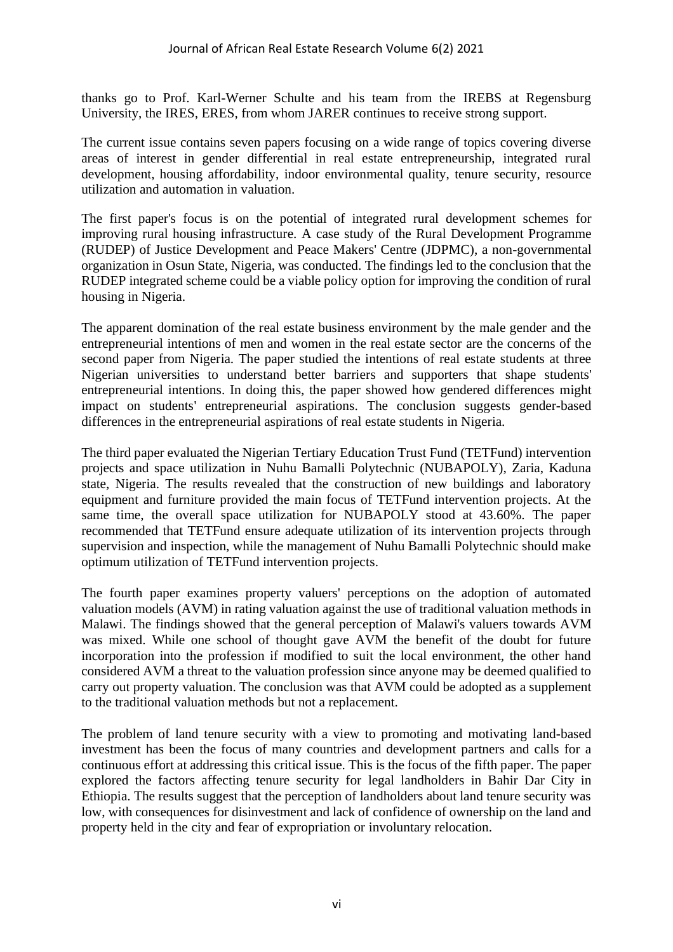thanks go to Prof. Karl-Werner Schulte and his team from the IREBS at Regensburg University, the IRES, ERES, from whom JARER continues to receive strong support.

The current issue contains seven papers focusing on a wide range of topics covering diverse areas of interest in gender differential in real estate entrepreneurship, integrated rural development, housing affordability, indoor environmental quality, tenure security, resource utilization and automation in valuation.

The first paper's focus is on the potential of integrated rural development schemes for improving rural housing infrastructure. A case study of the Rural Development Programme (RUDEP) of Justice Development and Peace Makers' Centre (JDPMC), a non-governmental organization in Osun State, Nigeria, was conducted. The findings led to the conclusion that the RUDEP integrated scheme could be a viable policy option for improving the condition of rural housing in Nigeria.

The apparent domination of the real estate business environment by the male gender and the entrepreneurial intentions of men and women in the real estate sector are the concerns of the second paper from Nigeria. The paper studied the intentions of real estate students at three Nigerian universities to understand better barriers and supporters that shape students' entrepreneurial intentions. In doing this, the paper showed how gendered differences might impact on students' entrepreneurial aspirations. The conclusion suggests gender-based differences in the entrepreneurial aspirations of real estate students in Nigeria.

The third paper evaluated the Nigerian Tertiary Education Trust Fund (TETFund) intervention projects and space utilization in Nuhu Bamalli Polytechnic (NUBAPOLY), Zaria, Kaduna state, Nigeria. The results revealed that the construction of new buildings and laboratory equipment and furniture provided the main focus of TETFund intervention projects. At the same time, the overall space utilization for NUBAPOLY stood at 43.60%. The paper recommended that TETFund ensure adequate utilization of its intervention projects through supervision and inspection, while the management of Nuhu Bamalli Polytechnic should make optimum utilization of TETFund intervention projects.

The fourth paper examines property valuers' perceptions on the adoption of automated valuation models (AVM) in rating valuation against the use of traditional valuation methods in Malawi. The findings showed that the general perception of Malawi's valuers towards AVM was mixed. While one school of thought gave AVM the benefit of the doubt for future incorporation into the profession if modified to suit the local environment, the other hand considered AVM a threat to the valuation profession since anyone may be deemed qualified to carry out property valuation. The conclusion was that AVM could be adopted as a supplement to the traditional valuation methods but not a replacement.

The problem of land tenure security with a view to promoting and motivating land-based investment has been the focus of many countries and development partners and calls for a continuous effort at addressing this critical issue. This is the focus of the fifth paper. The paper explored the factors affecting tenure security for legal landholders in Bahir Dar City in Ethiopia. The results suggest that the perception of landholders about land tenure security was low, with consequences for disinvestment and lack of confidence of ownership on the land and property held in the city and fear of expropriation or involuntary relocation.